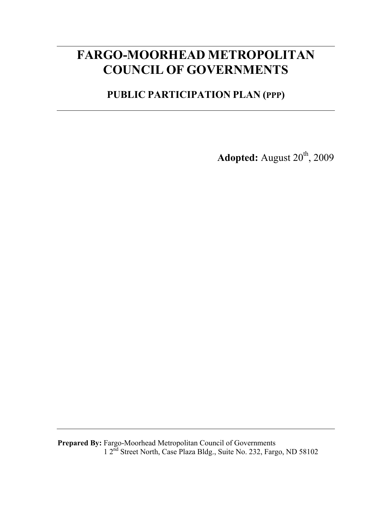# **FARGO-MOORHEAD METROPOLITAN COUNCIL OF GOVERNMENTS**

**PUBLIC PARTICIPATION PLAN (PPP)** 

**Adopted:** August 20<sup>th</sup>, 2009

**Prepared By:** Fargo-Moorhead Metropolitan Council of Governments 1 2<sup>nd</sup> Street North, Case Plaza Bldg., Suite No. 232, Fargo, ND 58102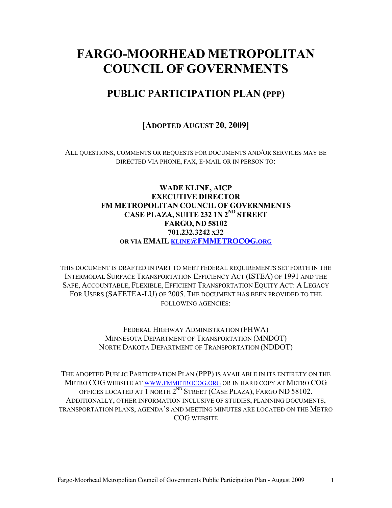# **FARGO-MOORHEAD METROPOLITAN COUNCIL OF GOVERNMENTS**

# **PUBLIC PARTICIPATION PLAN (PPP)**

### **[ADOPTED AUGUST 20, 2009]**

ALL QUESTIONS, COMMENTS OR REQUESTS FOR DOCUMENTS AND/OR SERVICES MAY BE DIRECTED VIA PHONE, FAX, E-MAIL OR IN PERSON TO:

#### **WADE KLINE, AICP EXECUTIVE DIRECTOR FM METROPOLITAN COUNCIL OF GOVERNMENTS CASE PLAZA, SUITE 232 1N 2ND STREET FARGO, ND 58102 701.232.3242 X32 OR VIA EMAIL KLINE@FMMETROCOG.ORG**

THIS DOCUMENT IS DRAFTED IN PART TO MEET FEDERAL REQUIREMENTS SET FORTH IN THE INTERMODAL SURFACE TRANSPORTATION EFFICIENCY ACT (ISTEA) OF 1991 AND THE SAFE, ACCOUNTABLE, FLEXIBLE, EFFICIENT TRANSPORTATION EQUITY ACT: A LEGACY FOR USERS (SAFETEA-LU) OF 2005. THE DOCUMENT HAS BEEN PROVIDED TO THE FOLLOWING AGENCIES:

> FEDERAL HIGHWAY ADMINISTRATION (FHWA) MINNESOTA DEPARTMENT OF TRANSPORTATION (MNDOT) NORTH DAKOTA DEPARTMENT OF TRANSPORTATION (NDDOT)

THE ADOPTED PUBLIC PARTICIPATION PLAN (PPP) IS AVAILABLE IN ITS ENTIRETY ON THE METRO COG WEBSITE AT WWW.FMMETROCOG.ORG OR IN HARD COPY AT METRO COG OFFICES LOCATED AT 1 NORTH 2<sup>ND</sup> STREET (CASE PLAZA), FARGO ND 58102. ADDITIONALLY, OTHER INFORMATION INCLUSIVE OF STUDIES, PLANNING DOCUMENTS, TRANSPORTATION PLANS, AGENDA'S AND MEETING MINUTES ARE LOCATED ON THE METRO COG WEBSITE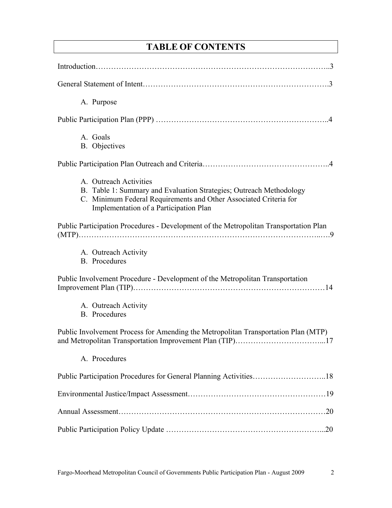# **TABLE OF CONTENTS**

| A. Purpose                                                                                                                                                                                                   |
|--------------------------------------------------------------------------------------------------------------------------------------------------------------------------------------------------------------|
|                                                                                                                                                                                                              |
| A. Goals<br><b>B.</b> Objectives                                                                                                                                                                             |
|                                                                                                                                                                                                              |
| A. Outreach Activities<br>B. Table 1: Summary and Evaluation Strategies; Outreach Methodology<br>C. Minimum Federal Requirements and Other Associated Criteria for<br>Implementation of a Participation Plan |
| Public Participation Procedures - Development of the Metropolitan Transportation Plan                                                                                                                        |
| A. Outreach Activity<br><b>B.</b> Procedures                                                                                                                                                                 |
| Public Involvement Procedure - Development of the Metropolitan Transportation                                                                                                                                |
| A. Outreach Activity<br><b>B.</b> Procedures                                                                                                                                                                 |
| Public Involvement Process for Amending the Metropolitan Transportation Plan (MTP)                                                                                                                           |
| A. Procedures                                                                                                                                                                                                |
| Public Participation Procedures for General Planning Activities18                                                                                                                                            |
|                                                                                                                                                                                                              |
|                                                                                                                                                                                                              |
|                                                                                                                                                                                                              |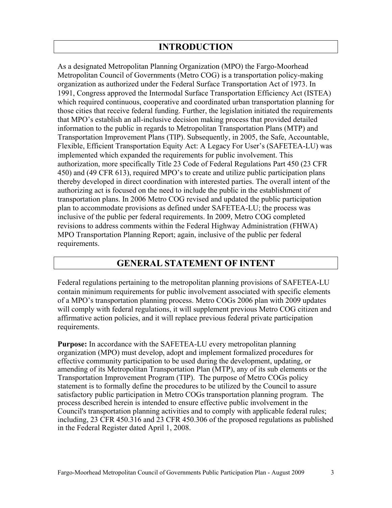## **INTRODUCTION**

As a designated Metropolitan Planning Organization (MPO) the Fargo-Moorhead Metropolitan Council of Governments (Metro COG) is a transportation policy-making organization as authorized under the Federal Surface Transportation Act of 1973. In 1991, Congress approved the Intermodal Surface Transportation Efficiency Act (ISTEA) which required continuous, cooperative and coordinated urban transportation planning for those cities that receive federal funding. Further, the legislation initiated the requirements that MPO's establish an all-inclusive decision making process that provided detailed information to the public in regards to Metropolitan Transportation Plans (MTP) and Transportation Improvement Plans (TIP). Subsequently, in 2005, the Safe, Accountable, Flexible, Efficient Transportation Equity Act: A Legacy For User's (SAFETEA-LU) was implemented which expanded the requirements for public involvement. This authorization, more specifically Title 23 Code of Federal Regulations Part 450 (23 CFR 450) and (49 CFR 613), required MPO's to create and utilize public participation plans thereby developed in direct coordination with interested parties. The overall intent of the authorizing act is focused on the need to include the public in the establishment of transportation plans. In 2006 Metro COG revised and updated the public participation plan to accommodate provisions as defined under SAFETEA-LU; the process was inclusive of the public per federal requirements. In 2009, Metro COG completed revisions to address comments within the Federal Highway Administration (FHWA) MPO Transportation Planning Report; again, inclusive of the public per federal requirements.

### **GENERAL STATEMENT OF INTENT**

Federal regulations pertaining to the metropolitan planning provisions of SAFETEA-LU contain minimum requirements for public involvement associated with specific elements of a MPO's transportation planning process. Metro COGs 2006 plan with 2009 updates will comply with federal regulations, it will supplement previous Metro COG citizen and affirmative action policies, and it will replace previous federal private participation requirements.

**Purpose:** In accordance with the SAFETEA-LU every metropolitan planning organization (MPO) must develop, adopt and implement formalized procedures for effective community participation to be used during the development, updating, or amending of its Metropolitan Transportation Plan (MTP), any of its sub elements or the Transportation Improvement Program (TIP). The purpose of Metro COGs policy statement is to formally define the procedures to be utilized by the Council to assure satisfactory public participation in Metro COGs transportation planning program. The process described herein is intended to ensure effective public involvement in the Council's transportation planning activities and to comply with applicable federal rules; including, 23 CFR 450.316 and 23 CFR 450.306 of the proposed regulations as published in the Federal Register dated April 1, 2008.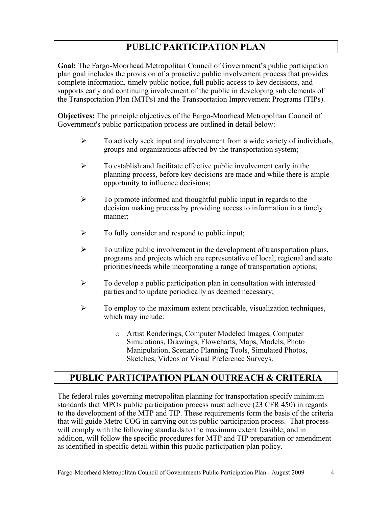# **PUBLIC PARTICIPATION PLAN**

**Goal:** The Fargo-Moorhead Metropolitan Council of Government's public participation plan goal includes the provision of a proactive public involvement process that provides complete information, timely public notice, full public access to key decisions, and supports early and continuing involvement of the public in developing sub elements of the Transportation Plan (MTPs) and the Transportation Improvement Programs (TIPs).

**Objectives:** The principle objectives of the Fargo-Moorhead Metropolitan Council of Government's public participation process are outlined in detail below:

- $\triangleright$  To actively seek input and involvement from a wide variety of individuals, groups and organizations affected by the transportation system;
- $\triangleright$  To establish and facilitate effective public involvement early in the planning process, before key decisions are made and while there is ample opportunity to influence decisions;
- $\triangleright$  To promote informed and thoughtful public input in regards to the decision making process by providing access to information in a timely manner;
- $\triangleright$  To fully consider and respond to public input;
- $\triangleright$  To utilize public involvement in the development of transportation plans, programs and projects which are representative of local, regional and state priorities/needs while incorporating a range of transportation options;
- $\triangleright$  To develop a public participation plan in consultation with interested parties and to update periodically as deemed necessary;
- $\triangleright$  To employ to the maximum extent practicable, visualization techniques, which may include:
	- o Artist Renderings, Computer Modeled Images, Computer Simulations, Drawings, Flowcharts, Maps, Models, Photo Manipulation, Scenario Planning Tools, Simulated Photos, Sketches, Videos or Visual Preference Surveys.

# **PUBLIC PARTICIPATION PLAN OUTREACH & CRITERIA**

The federal rules governing metropolitan planning for transportation specify minimum standards that MPOs public participation process must achieve (23 CFR 450) in regards to the development of the MTP and TIP. These requirements form the basis of the criteria that will guide Metro COG in carrying out its public participation process. That process will comply with the following standards to the maximum extent feasible; and in addition, will follow the specific procedures for MTP and TIP preparation or amendment as identified in specific detail within this public participation plan policy.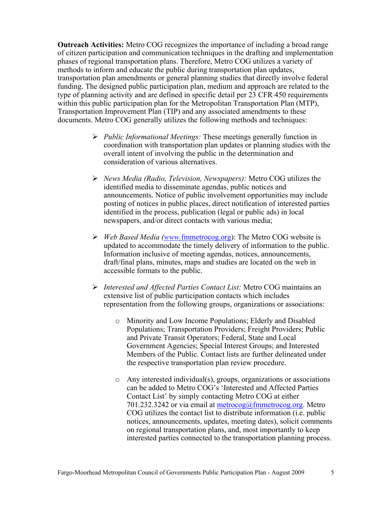**Outreach Activities:** Metro COG recognizes the importance of including a broad range of citizen participation and communication techniques in the drafting and implementation phases of regional transportation plans. Therefore, Metro COG utilizes a variety of methods to inform and educate the public during transportation plan updates, transportation plan amendments or general planning studies that directly involve federal funding. The designed public participation plan, medium and approach are related to the type of planning activity and are defined in specific detail per 23 CFR 450 requirements within this public participation plan for the Metropolitan Transportation Plan (MTP), Transportation Improvement Plan (TIP) and any associated amendments to these documents. Metro COG generally utilizes the following methods and techniques:

- ¾ *Public Informational Meetings:* These meetings generally function in coordination with transportation plan updates or planning studies with the overall intent of involving the public in the determination and consideration of various alternatives.
- ¾ *News Media (Radio, Television, Newspapers):* Metro COG utilizes the identified media to disseminate agendas, public notices and announcements. Notice of public involvement opportunities may include posting of notices in public places, direct notification of interested parties identified in the process, publication (legal or public ads) in local newspapers, and/or direct contacts with various media;
- ¾ *Web Based Media (www.*fmmetrocog.org): The Metro COG website is updated to accommodate the timely delivery of information to the public. Information inclusive of meeting agendas, notices, announcements, draft/final plans, minutes, maps and studies are located on the web in accessible formats to the public.
- ¾ *Interested and Affected Parties Contact List:* Metro COG maintains an extensive list of public participation contacts which includes representation from the following groups, organizations or associations:
	- o Minority and Low Income Populations; Elderly and Disabled Populations; Transportation Providers; Freight Providers; Public and Private Transit Operators; Federal, State and Local Government Agencies; Special Interest Groups; and Interested Members of the Public. Contact lists are further delineated under the respective transportation plan review procedure.
	- o Any interested individual(s), groups, organizations or associations can be added to Metro COG's 'Interested and Affected Parties Contact List' by simply contacting Metro COG at either 701.232.3242 or via email at  $metrocog@fmmetrocog.org$ . Metro COG utilizes the contact list to distribute information (i.e. public notices, announcements, updates, meeting dates), solicit comments on regional transportation plans, and, most importantly to keep interested parties connected to the transportation planning process.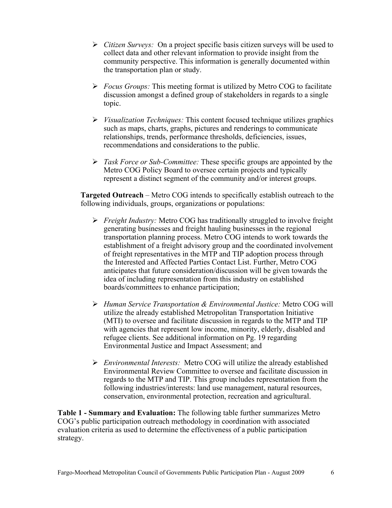- ¾ *Citizen Surveys:* On a project specific basis citizen surveys will be used to collect data and other relevant information to provide insight from the community perspective. This information is generally documented within the transportation plan or study.
- ¾ *Focus Groups:* This meeting format is utilized by Metro COG to facilitate discussion amongst a defined group of stakeholders in regards to a single topic.
- ¾ *Visualization Techniques:* This content focused technique utilizes graphics such as maps, charts, graphs, pictures and renderings to communicate relationships, trends, performance thresholds, deficiencies, issues, recommendations and considerations to the public.
- ¾ *Task Force or Sub-Committee:* These specific groups are appointed by the Metro COG Policy Board to oversee certain projects and typically represent a distinct segment of the community and/or interest groups.

**Targeted Outreach** – Metro COG intends to specifically establish outreach to the following individuals, groups, organizations or populations:

- ¾ *Freight Industry:* Metro COG has traditionally struggled to involve freight generating businesses and freight hauling businesses in the regional transportation planning process. Metro COG intends to work towards the establishment of a freight advisory group and the coordinated involvement of freight representatives in the MTP and TIP adoption process through the Interested and Affected Parties Contact List. Further, Metro COG anticipates that future consideration/discussion will be given towards the idea of including representation from this industry on established boards/committees to enhance participation;
- ¾ *Human Service Transportation & Environmental Justice:* Metro COG will utilize the already established Metropolitan Transportation Initiative (MTI) to oversee and facilitate discussion in regards to the MTP and TIP with agencies that represent low income, minority, elderly, disabled and refugee clients. See additional information on Pg. 19 regarding Environmental Justice and Impact Assessment; and
- ¾ *Environmental Interests:* Metro COG will utilize the already established Environmental Review Committee to oversee and facilitate discussion in regards to the MTP and TIP. This group includes representation from the following industries/interests: land use management, natural resources, conservation, environmental protection, recreation and agricultural.

**Table 1 - Summary and Evaluation:** The following table further summarizes Metro COG's public participation outreach methodology in coordination with associated evaluation criteria as used to determine the effectiveness of a public participation strategy.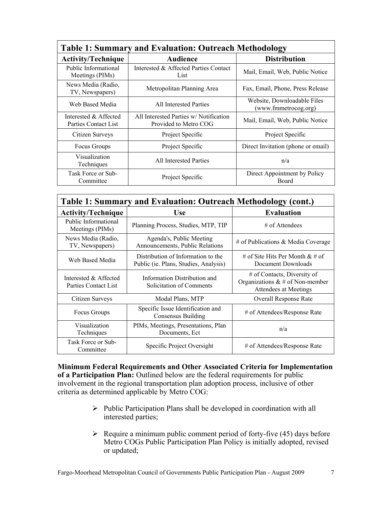| <b>Table 1: Summary and Evaluation: Outreach Methodology</b> |                                                                |                                                     |  |
|--------------------------------------------------------------|----------------------------------------------------------------|-----------------------------------------------------|--|
| <b>Activity/Technique</b>                                    | Audience                                                       | <b>Distribution</b>                                 |  |
| Public Informational<br>Meetings (PIMs)                      | Interested & Affected Parties Contact<br>List                  | Mail, Email, Web, Public Notice                     |  |
| News Media (Radio,<br>TV, Newspapers)                        | Metropolitan Planning Area                                     | Fax, Email, Phone, Press Release                    |  |
| Web Based Media                                              | All Interested Parties                                         | Website, Downloadable Files<br>(www.fmmetrocog.org) |  |
| Interested & Affected<br>Parties Contact List                | All Interested Parties w/Notification<br>Provided to Metro COG | Mail, Email, Web, Public Notice                     |  |
| Citizen Surveys                                              | Project Specific                                               | Project Specific                                    |  |
| Focus Groups                                                 | Project Specific                                               | Direct Invitation (phone or email)                  |  |
| Visualization<br>Techniques                                  | All Interested Parties                                         | n/a                                                 |  |
| Task Force or Sub-<br>Committee                              | Project Specific                                               | Direct Appointment by Policy<br><b>Board</b>        |  |

| Table 1: Summary and Evaluation: Outreach Methodology (cont.) |                                                                             |                                                                                               |  |
|---------------------------------------------------------------|-----------------------------------------------------------------------------|-----------------------------------------------------------------------------------------------|--|
| <b>Activity/Technique</b>                                     | <b>Use</b>                                                                  | <b>Evaluation</b>                                                                             |  |
| Public Informational<br>Meetings (PIMs)                       | Planning Process, Studies, MTP, TIP                                         | $\#$ of Attendees                                                                             |  |
| News Media (Radio,<br>TV, Newspapers)                         | Agenda's, Public Meeting<br>Announcements, Public Relations                 | $#$ of Publications & Media Coverage                                                          |  |
| Web Based Media                                               | Distribution of Information to the<br>Public (ie. Plans, Studies, Analysis) | # of Site Hits Per Month & # of<br>Document Downloads                                         |  |
| Interested & Affected<br>Parties Contact List                 | Information Distribution and<br>Solicitation of Comments                    | $#$ of Contacts, Diversity of<br>Organizations $\& \#$ of Non-member<br>Attendees at Meetings |  |
| Citizen Surveys                                               | Modal Plans, MTP                                                            | <b>Overall Response Rate</b>                                                                  |  |
| Focus Groups                                                  | Specific Issue Identification and<br>Consensus Building                     | # of Attendees/Response Rate                                                                  |  |
| Visualization<br>Techniques                                   | PIMs, Meetings, Presentations, Plan<br>Documents, Ect                       | n/a                                                                                           |  |
| Task Force or Sub-<br>Committee                               | Specific Project Oversight                                                  | # of Attendees/Response Rate                                                                  |  |

**Minimum Federal Requirements and Other Associated Criteria for Implementation of a Participation Plan:** Outlined below are the federal requirements for public involvement in the regional transportation plan adoption process, inclusive of other criteria as determined applicable by Metro COG:

- $\triangleright$  Public Participation Plans shall be developed in coordination with all interested parties;
- $\triangleright$  Require a minimum public comment period of forty-five (45) days before Metro COGs Public Participation Plan Policy is initially adopted, revised or updated;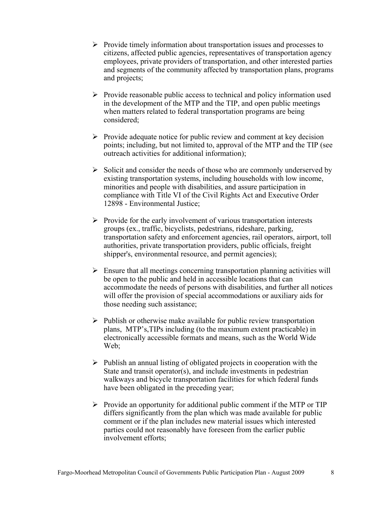- $\triangleright$  Provide timely information about transportation issues and processes to citizens, affected public agencies, representatives of transportation agency employees, private providers of transportation, and other interested parties and segments of the community affected by transportation plans, programs and projects;
- $\triangleright$  Provide reasonable public access to technical and policy information used in the development of the MTP and the TIP, and open public meetings when matters related to federal transportation programs are being considered;
- $\triangleright$  Provide adequate notice for public review and comment at key decision points; including, but not limited to, approval of the MTP and the TIP (see outreach activities for additional information);
- $\triangleright$  Solicit and consider the needs of those who are commonly underserved by existing transportation systems, including households with low income, minorities and people with disabilities, and assure participation in compliance with Title VI of the Civil Rights Act and Executive Order 12898 - Environmental Justice;
- $\triangleright$  Provide for the early involvement of various transportation interests groups (ex., traffic, bicyclists, pedestrians, rideshare, parking, transportation safety and enforcement agencies, rail operators, airport, toll authorities, private transportation providers, public officials, freight shipper's, environmental resource, and permit agencies);
- $\triangleright$  Ensure that all meetings concerning transportation planning activities will be open to the public and held in accessible locations that can accommodate the needs of persons with disabilities, and further all notices will offer the provision of special accommodations or auxiliary aids for those needing such assistance;
- $\triangleright$  Publish or otherwise make available for public review transportation plans, MTP's,TIPs including (to the maximum extent practicable) in electronically accessible formats and means, such as the World Wide Web;
- $\triangleright$  Publish an annual listing of obligated projects in cooperation with the State and transit operator(s), and include investments in pedestrian walkways and bicycle transportation facilities for which federal funds have been obligated in the preceding year;
- $\triangleright$  Provide an opportunity for additional public comment if the MTP or TIP differs significantly from the plan which was made available for public comment or if the plan includes new material issues which interested parties could not reasonably have foreseen from the earlier public involvement efforts;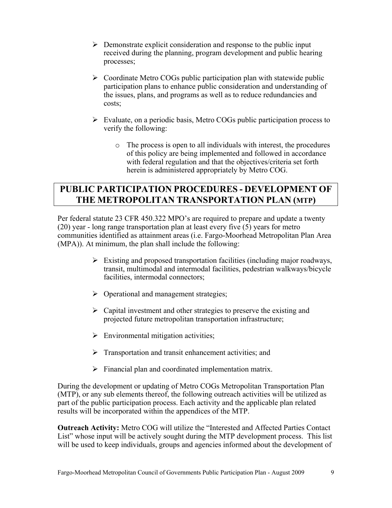- $\triangleright$  Demonstrate explicit consideration and response to the public input received during the planning, program development and public hearing processes;
- $\triangleright$  Coordinate Metro COGs public participation plan with statewide public participation plans to enhance public consideration and understanding of the issues, plans, and programs as well as to reduce redundancies and costs;
- $\triangleright$  Evaluate, on a periodic basis, Metro COGs public participation process to verify the following:
	- o The process is open to all individuals with interest, the procedures of this policy are being implemented and followed in accordance with federal regulation and that the objectives/criteria set forth herein is administered appropriately by Metro COG.

# **PUBLIC PARTICIPATION PROCEDURES - DEVELOPMENT OF THE METROPOLITAN TRANSPORTATION PLAN (MTP)**

Per federal statute 23 CFR 450.322 MPO's are required to prepare and update a twenty (20) year - long range transportation plan at least every five (5) years for metro communities identified as attainment areas (i.e. Fargo-Moorhead Metropolitan Plan Area (MPA)). At minimum, the plan shall include the following:

- $\triangleright$  Existing and proposed transportation facilities (including major roadways, transit, multimodal and intermodal facilities, pedestrian walkways/bicycle facilities, intermodal connectors;
- $\triangleright$  Operational and management strategies;
- $\triangleright$  Capital investment and other strategies to preserve the existing and projected future metropolitan transportation infrastructure;
- $\triangleright$  Environmental mitigation activities;
- $\triangleright$  Transportation and transit enhancement activities; and
- $\triangleright$  Financial plan and coordinated implementation matrix.

During the development or updating of Metro COGs Metropolitan Transportation Plan (MTP), or any sub elements thereof, the following outreach activities will be utilized as part of the public participation process. Each activity and the applicable plan related results will be incorporated within the appendices of the MTP.

**Outreach Activity:** Metro COG will utilize the "Interested and Affected Parties Contact List" whose input will be actively sought during the MTP development process. This list will be used to keep individuals, groups and agencies informed about the development of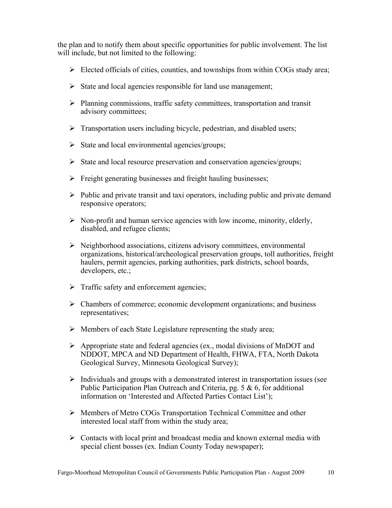the plan and to notify them about specific opportunities for public involvement. The list will include, but not limited to the following:

- $\triangleright$  Elected officials of cities, counties, and townships from within COGs study area;
- $\triangleright$  State and local agencies responsible for land use management;
- ¾ Planning commissions, traffic safety committees, transportation and transit advisory committees;
- $\triangleright$  Transportation users including bicycle, pedestrian, and disabled users;
- $\triangleright$  State and local environmental agencies/groups;
- $\triangleright$  State and local resource preservation and conservation agencies/groups;
- $\triangleright$  Freight generating businesses and freight hauling businesses;
- $\triangleright$  Public and private transit and taxi operators, including public and private demand responsive operators;
- $\triangleright$  Non-profit and human service agencies with low income, minority, elderly, disabled, and refugee clients;
- $\triangleright$  Neighborhood associations, citizens advisory committees, environmental organizations, historical/archeological preservation groups, toll authorities, freight haulers, permit agencies, parking authorities, park districts, school boards, developers, etc.;
- $\triangleright$  Traffic safety and enforcement agencies;
- $\triangleright$  Chambers of commerce; economic development organizations; and business representatives;
- $\triangleright$  Members of each State Legislature representing the study area;
- $\triangleright$  Appropriate state and federal agencies (ex., modal divisions of MnDOT and NDDOT, MPCA and ND Department of Health, FHWA, FTA, North Dakota Geological Survey, Minnesota Geological Survey);
- $\triangleright$  Individuals and groups with a demonstrated interest in transportation issues (see Public Participation Plan Outreach and Criteria, pg. 5 & 6, for additional information on 'Interested and Affected Parties Contact List');
- ¾ Members of Metro COGs Transportation Technical Committee and other interested local staff from within the study area;
- $\triangleright$  Contacts with local print and broadcast media and known external media with special client bosses (ex. Indian County Today newspaper);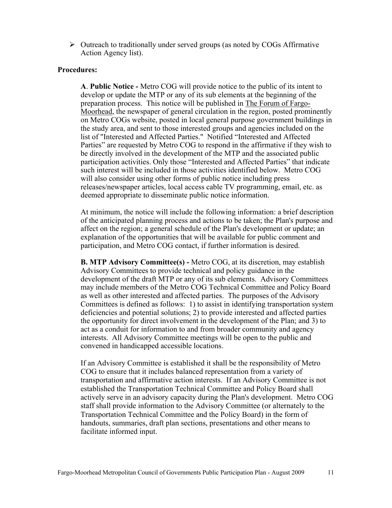$\triangleright$  Outreach to traditionally under served groups (as noted by COGs Affirmative Action Agency list).

#### **Procedures:**

**A**. **Public Notice -** Metro COG will provide notice to the public of its intent to develop or update the MTP or any of its sub elements at the beginning of the preparation process. This notice will be published in The Forum of Fargo-Moorhead, the newspaper of general circulation in the region, posted prominently on Metro COGs website, posted in local general purpose government buildings in the study area, and sent to those interested groups and agencies included on the list of "Interested and Affected Parties." Notified "Interested and Affected Parties" are requested by Metro COG to respond in the affirmative if they wish to be directly involved in the development of the MTP and the associated public participation activities. Only those "Interested and Affected Parties" that indicate such interest will be included in those activities identified below. Metro COG will also consider using other forms of public notice including press releases/newspaper articles, local access cable TV programming, email, etc. as deemed appropriate to disseminate public notice information.

At minimum, the notice will include the following information: a brief description of the anticipated planning process and actions to be taken; the Plan's purpose and affect on the region; a general schedule of the Plan's development or update; an explanation of the opportunities that will be available for public comment and participation, and Metro COG contact, if further information is desired.

**B. MTP Advisory Committee(s) -** Metro COG, at its discretion, may establish Advisory Committees to provide technical and policy guidance in the development of the draft MTP or any of its sub elements. Advisory Committees may include members of the Metro COG Technical Committee and Policy Board as well as other interested and affected parties. The purposes of the Advisory Committees is defined as follows: 1) to assist in identifying transportation system deficiencies and potential solutions; 2) to provide interested and affected parties the opportunity for direct involvement in the development of the Plan; and 3) to act as a conduit for information to and from broader community and agency interests. All Advisory Committee meetings will be open to the public and convened in handicapped accessible locations.

If an Advisory Committee is established it shall be the responsibility of Metro COG to ensure that it includes balanced representation from a variety of transportation and affirmative action interests. If an Advisory Committee is not established the Transportation Technical Committee and Policy Board shall actively serve in an advisory capacity during the Plan's development. Metro COG staff shall provide information to the Advisory Committee (or alternately to the Transportation Technical Committee and the Policy Board) in the form of handouts, summaries, draft plan sections, presentations and other means to facilitate informed input.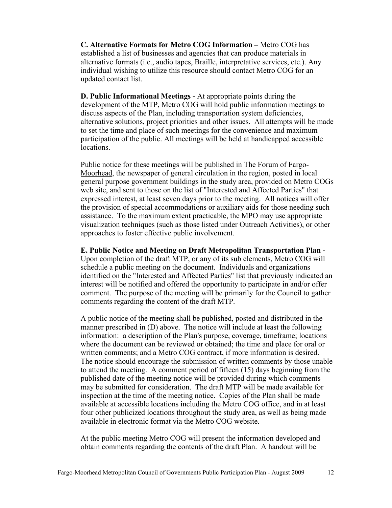**C. Alternative Formats for Metro COG Information –** Metro COG has established a list of businesses and agencies that can produce materials in alternative formats (i.e., audio tapes, Braille, interpretative services, etc.). Any individual wishing to utilize this resource should contact Metro COG for an updated contact list.

**D. Public Informational Meetings -** At appropriate points during the development of the MTP, Metro COG will hold public information meetings to discuss aspects of the Plan, including transportation system deficiencies, alternative solutions, project priorities and other issues. All attempts will be made to set the time and place of such meetings for the convenience and maximum participation of the public. All meetings will be held at handicapped accessible locations.

Public notice for these meetings will be published in The Forum of Fargo-Moorhead, the newspaper of general circulation in the region, posted in local general purpose government buildings in the study area, provided on Metro COGs web site, and sent to those on the list of "Interested and Affected Parties" that expressed interest, at least seven days prior to the meeting. All notices will offer the provision of special accommodations or auxiliary aids for those needing such assistance. To the maximum extent practicable, the MPO may use appropriate visualization techniques (such as those listed under Outreach Activities), or other approaches to foster effective public involvement.

**E. Public Notice and Meeting on Draft Metropolitan Transportation Plan -**  Upon completion of the draft MTP, or any of its sub elements, Metro COG will schedule a public meeting on the document. Individuals and organizations identified on the "Interested and Affected Parties" list that previously indicated an interest will be notified and offered the opportunity to participate in and/or offer comment. The purpose of the meeting will be primarily for the Council to gather comments regarding the content of the draft MTP.

A public notice of the meeting shall be published, posted and distributed in the manner prescribed in (D) above. The notice will include at least the following information: a description of the Plan's purpose, coverage, timeframe; locations where the document can be reviewed or obtained; the time and place for oral or written comments; and a Metro COG contract, if more information is desired. The notice should encourage the submission of written comments by those unable to attend the meeting. A comment period of fifteen (15) days beginning from the published date of the meeting notice will be provided during which comments may be submitted for consideration. The draft MTP will be made available for inspection at the time of the meeting notice. Copies of the Plan shall be made available at accessible locations including the Metro COG office, and in at least four other publicized locations throughout the study area, as well as being made available in electronic format via the Metro COG website.

At the public meeting Metro COG will present the information developed and obtain comments regarding the contents of the draft Plan. A handout will be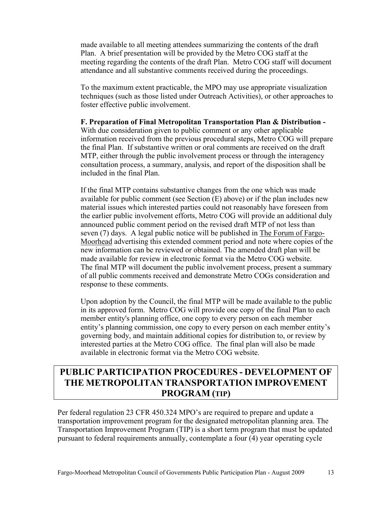made available to all meeting attendees summarizing the contents of the draft Plan. A brief presentation will be provided by the Metro COG staff at the meeting regarding the contents of the draft Plan. Metro COG staff will document attendance and all substantive comments received during the proceedings.

To the maximum extent practicable, the MPO may use appropriate visualization techniques (such as those listed under Outreach Activities), or other approaches to foster effective public involvement.

#### **F. Preparation of Final Metropolitan Transportation Plan & Distribution -**

With due consideration given to public comment or any other applicable information received from the previous procedural steps, Metro COG will prepare the final Plan. If substantive written or oral comments are received on the draft MTP, either through the public involvement process or through the interagency consultation process, a summary, analysis, and report of the disposition shall be included in the final Plan.

If the final MTP contains substantive changes from the one which was made available for public comment (see Section (E) above) or if the plan includes new material issues which interested parties could not reasonably have foreseen from the earlier public involvement efforts, Metro COG will provide an additional duly announced public comment period on the revised draft MTP of not less than seven (7) days. A legal public notice will be published in The Forum of Fargo-Moorhead advertising this extended comment period and note where copies of the new information can be reviewed or obtained. The amended draft plan will be made available for review in electronic format via the Metro COG website. The final MTP will document the public involvement process, present a summary of all public comments received and demonstrate Metro COGs consideration and response to these comments.

Upon adoption by the Council, the final MTP will be made available to the public in its approved form. Metro COG will provide one copy of the final Plan to each member entity's planning office, one copy to every person on each member entity's planning commission, one copy to every person on each member entity's governing body, and maintain additional copies for distribution to, or review by interested parties at the Metro COG office. The final plan will also be made available in electronic format via the Metro COG website.

# **PUBLIC PARTICIPATION PROCEDURES - DEVELOPMENT OF THE METROPOLITAN TRANSPORTATION IMPROVEMENT PROGRAM (TIP)**

Per federal regulation 23 CFR 450.324 MPO's are required to prepare and update a transportation improvement program for the designated metropolitan planning area. The Transportation Improvement Program (TIP) is a short term program that must be updated pursuant to federal requirements annually, contemplate a four (4) year operating cycle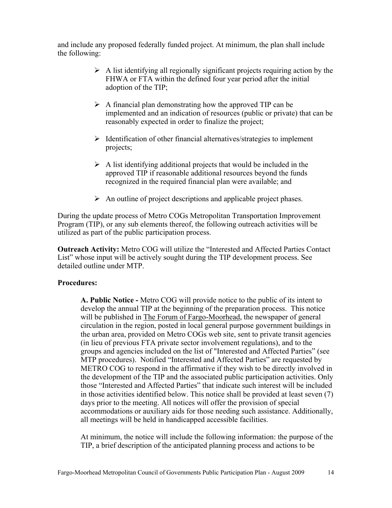and include any proposed federally funded project. At minimum, the plan shall include the following:

- $\triangleright$  A list identifying all regionally significant projects requiring action by the FHWA or FTA within the defined four year period after the initial adoption of the TIP;
- $\triangleright$  A financial plan demonstrating how the approved TIP can be implemented and an indication of resources (public or private) that can be reasonably expected in order to finalize the project;
- $\triangleright$  Identification of other financial alternatives/strategies to implement projects;
- $\triangleright$  A list identifying additional projects that would be included in the approved TIP if reasonable additional resources beyond the funds recognized in the required financial plan were available; and
- $\triangleright$  An outline of project descriptions and applicable project phases.

During the update process of Metro COGs Metropolitan Transportation Improvement Program (TIP), or any sub elements thereof, the following outreach activities will be utilized as part of the public participation process.

**Outreach Activity:** Metro COG will utilize the "Interested and Affected Parties Contact List" whose input will be actively sought during the TIP development process. See detailed outline under MTP.

#### **Procedures:**

**A. Public Notice -** Metro COG will provide notice to the public of its intent to develop the annual TIP at the beginning of the preparation process. This notice will be published in The Forum of Fargo-Moorhead, the newspaper of general circulation in the region, posted in local general purpose government buildings in the urban area, provided on Metro COGs web site, sent to private transit agencies (in lieu of previous FTA private sector involvement regulations), and to the groups and agencies included on the list of "Interested and Affected Parties" (see MTP procedures). Notified "Interested and Affected Parties" are requested by METRO COG to respond in the affirmative if they wish to be directly involved in the development of the TIP and the associated public participation activities. Only those "Interested and Affected Parties" that indicate such interest will be included in those activities identified below. This notice shall be provided at least seven (7) days prior to the meeting. All notices will offer the provision of special accommodations or auxiliary aids for those needing such assistance. Additionally, all meetings will be held in handicapped accessible facilities.

At minimum, the notice will include the following information: the purpose of the TIP, a brief description of the anticipated planning process and actions to be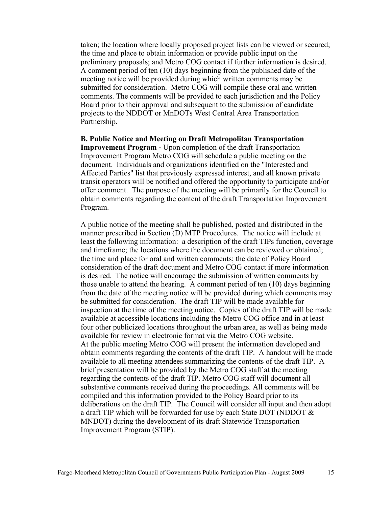taken; the location where locally proposed project lists can be viewed or secured; the time and place to obtain information or provide public input on the preliminary proposals; and Metro COG contact if further information is desired. A comment period of ten (10) days beginning from the published date of the meeting notice will be provided during which written comments may be submitted for consideration. Metro COG will compile these oral and written comments. The comments will be provided to each jurisdiction and the Policy Board prior to their approval and subsequent to the submission of candidate projects to the NDDOT or MnDOTs West Central Area Transportation Partnership.

**B. Public Notice and Meeting on Draft Metropolitan Transportation Improvement Program -** Upon completion of the draft Transportation Improvement Program Metro COG will schedule a public meeting on the document. Individuals and organizations identified on the "Interested and Affected Parties" list that previously expressed interest, and all known private transit operators will be notified and offered the opportunity to participate and/or offer comment. The purpose of the meeting will be primarily for the Council to obtain comments regarding the content of the draft Transportation Improvement Program.

A public notice of the meeting shall be published, posted and distributed in the manner prescribed in Section (D) MTP Procedures. The notice will include at least the following information: a description of the draft TIPs function, coverage and timeframe; the locations where the document can be reviewed or obtained; the time and place for oral and written comments; the date of Policy Board consideration of the draft document and Metro COG contact if more information is desired. The notice will encourage the submission of written comments by those unable to attend the hearing. A comment period of ten (10) days beginning from the date of the meeting notice will be provided during which comments may be submitted for consideration. The draft TIP will be made available for inspection at the time of the meeting notice. Copies of the draft TIP will be made available at accessible locations including the Metro COG office and in at least four other publicized locations throughout the urban area, as well as being made available for review in electronic format via the Metro COG website. At the public meeting Metro COG will present the information developed and obtain comments regarding the contents of the draft TIP. A handout will be made available to all meeting attendees summarizing the contents of the draft TIP. A brief presentation will be provided by the Metro COG staff at the meeting regarding the contents of the draft TIP. Metro COG staff will document all substantive comments received during the proceedings. All comments will be compiled and this information provided to the Policy Board prior to its deliberations on the draft TIP. The Council will consider all input and then adopt a draft TIP which will be forwarded for use by each State DOT (NDDOT & MNDOT) during the development of its draft Statewide Transportation Improvement Program (STIP).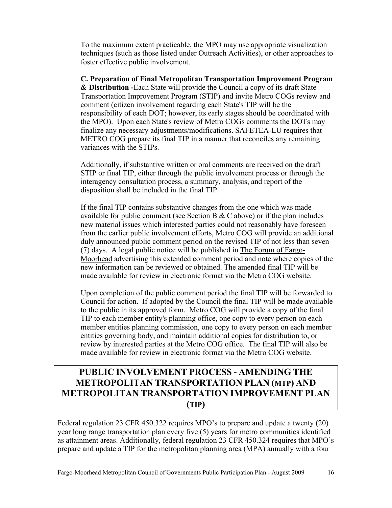To the maximum extent practicable, the MPO may use appropriate visualization techniques (such as those listed under Outreach Activities), or other approaches to foster effective public involvement.

**C. Preparation of Final Metropolitan Transportation Improvement Program & Distribution -**Each State will provide the Council a copy of its draft State Transportation Improvement Program (STIP) and invite Metro COGs review and comment (citizen involvement regarding each State's TIP will be the responsibility of each DOT; however, its early stages should be coordinated with the MPO). Upon each State's review of Metro COGs comments the DOTs may finalize any necessary adjustments/modifications. SAFETEA-LU requires that METRO COG prepare its final TIP in a manner that reconciles any remaining variances with the STIPs.

Additionally, if substantive written or oral comments are received on the draft STIP or final TIP, either through the public involvement process or through the interagency consultation process, a summary, analysis, and report of the disposition shall be included in the final TIP.

If the final TIP contains substantive changes from the one which was made available for public comment (see Section B  $&$  C above) or if the plan includes new material issues which interested parties could not reasonably have foreseen from the earlier public involvement efforts, Metro COG will provide an additional duly announced public comment period on the revised TIP of not less than seven (7) days. A legal public notice will be published in The Forum of Fargo-Moorhead advertising this extended comment period and note where copies of the new information can be reviewed or obtained. The amended final TIP will be made available for review in electronic format via the Metro COG website.

Upon completion of the public comment period the final TIP will be forwarded to Council for action. If adopted by the Council the final TIP will be made available to the public in its approved form. Metro COG will provide a copy of the final TIP to each member entity's planning office, one copy to every person on each member entities planning commission, one copy to every person on each member entities governing body, and maintain additional copies for distribution to, or review by interested parties at the Metro COG office. The final TIP will also be made available for review in electronic format via the Metro COG website.

# **PUBLIC INVOLVEMENT PROCESS - AMENDING THE METROPOLITAN TRANSPORTATION PLAN (MTP) AND METROPOLITAN TRANSPORTATION IMPROVEMENT PLAN (TIP)**

Federal regulation 23 CFR 450.322 requires MPO's to prepare and update a twenty (20) year long range transportation plan every five (5) years for metro communities identified as attainment areas. Additionally, federal regulation 23 CFR 450.324 requires that MPO's prepare and update a TIP for the metropolitan planning area (MPA) annually with a four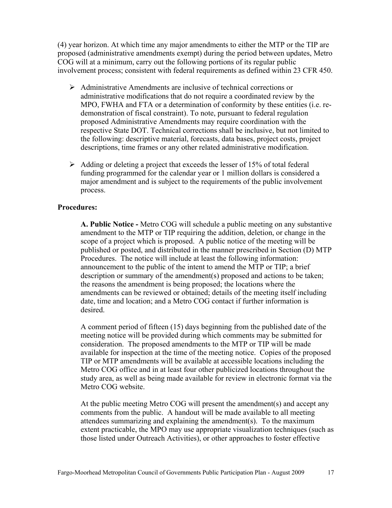(4) year horizon. At which time any major amendments to either the MTP or the TIP are proposed (administrative amendments exempt) during the period between updates, Metro COG will at a minimum, carry out the following portions of its regular public involvement process; consistent with federal requirements as defined within 23 CFR 450.

- $\triangleright$  Administrative Amendments are inclusive of technical corrections or administrative modifications that do not require a coordinated review by the MPO, FWHA and FTA or a determination of conformity by these entities (i.e. redemonstration of fiscal constraint). To note, pursuant to federal regulation proposed Administrative Amendments may require coordination with the respective State DOT. Technical corrections shall be inclusive, but not limited to the following: descriptive material, forecasts, data bases, project costs, project descriptions, time frames or any other related administrative modification.
- $\triangleright$  Adding or deleting a project that exceeds the lesser of 15% of total federal funding programmed for the calendar year or 1 million dollars is considered a major amendment and is subject to the requirements of the public involvement process.

#### **Procedures:**

**A. Public Notice -** Metro COG will schedule a public meeting on any substantive amendment to the MTP or TIP requiring the addition, deletion, or change in the scope of a project which is proposed. A public notice of the meeting will be published or posted, and distributed in the manner prescribed in Section (D) MTP Procedures. The notice will include at least the following information: announcement to the public of the intent to amend the MTP or TIP; a brief description or summary of the amendment(s) proposed and actions to be taken; the reasons the amendment is being proposed; the locations where the amendments can be reviewed or obtained; details of the meeting itself including date, time and location; and a Metro COG contact if further information is desired.

A comment period of fifteen (15) days beginning from the published date of the meeting notice will be provided during which comments may be submitted for consideration. The proposed amendments to the MTP or TIP will be made available for inspection at the time of the meeting notice. Copies of the proposed TIP or MTP amendments will be available at accessible locations including the Metro COG office and in at least four other publicized locations throughout the study area, as well as being made available for review in electronic format via the Metro COG website.

At the public meeting Metro COG will present the amendment(s) and accept any comments from the public. A handout will be made available to all meeting attendees summarizing and explaining the amendment(s). To the maximum extent practicable, the MPO may use appropriate visualization techniques (such as those listed under Outreach Activities), or other approaches to foster effective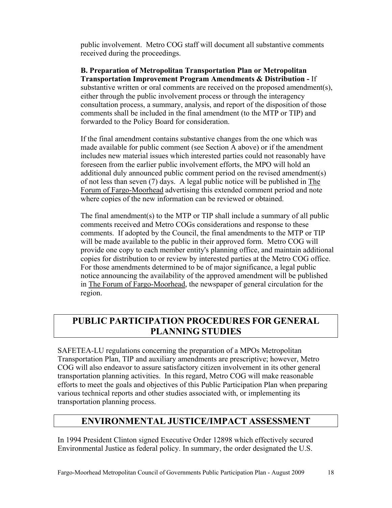public involvement. Metro COG staff will document all substantive comments received during the proceedings.

#### **B. Preparation of Metropolitan Transportation Plan or Metropolitan Transportation Improvement Program Amendments & Distribution -** If

substantive written or oral comments are received on the proposed amendment(s), either through the public involvement process or through the interagency consultation process, a summary, analysis, and report of the disposition of those comments shall be included in the final amendment (to the MTP or TIP) and forwarded to the Policy Board for consideration.

If the final amendment contains substantive changes from the one which was made available for public comment (see Section A above) or if the amendment includes new material issues which interested parties could not reasonably have foreseen from the earlier public involvement efforts, the MPO will hold an additional duly announced public comment period on the revised amendment(s) of not less than seven (7) days. A legal public notice will be published in The Forum of Fargo-Moorhead advertising this extended comment period and note where copies of the new information can be reviewed or obtained.

The final amendment(s) to the MTP or TIP shall include a summary of all public comments received and Metro COGs considerations and response to these comments. If adopted by the Council, the final amendments to the MTP or TIP will be made available to the public in their approved form. Metro COG will provide one copy to each member entity's planning office, and maintain additional copies for distribution to or review by interested parties at the Metro COG office. For those amendments determined to be of major significance, a legal public notice announcing the availability of the approved amendment will be published in The Forum of Fargo-Moorhead, the newspaper of general circulation for the region.

# **PUBLIC PARTICIPATION PROCEDURES FOR GENERAL PLANNING STUDIES**

SAFETEA-LU regulations concerning the preparation of a MPOs Metropolitan Transportation Plan, TIP and auxiliary amendments are prescriptive; however, Metro COG will also endeavor to assure satisfactory citizen involvement in its other general transportation planning activities. In this regard, Metro COG will make reasonable efforts to meet the goals and objectives of this Public Participation Plan when preparing various technical reports and other studies associated with, or implementing its transportation planning process.

# **ENVIRONMENTAL JUSTICE/IMPACT ASSESSMENT**

In 1994 President Clinton signed Executive Order 12898 which effectively secured Environmental Justice as federal policy. In summary, the order designated the U.S.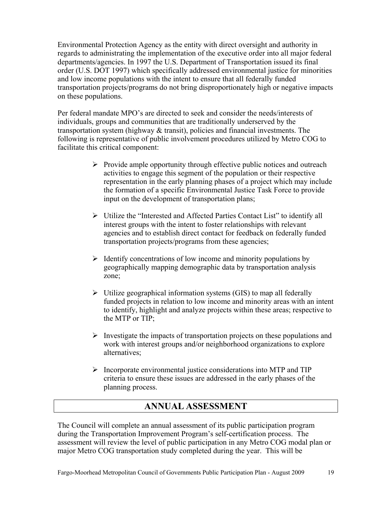Environmental Protection Agency as the entity with direct oversight and authority in regards to administrating the implementation of the executive order into all major federal departments/agencies. In 1997 the U.S. Department of Transportation issued its final order (U.S. DOT 1997) which specifically addressed environmental justice for minorities and low income populations with the intent to ensure that all federally funded transportation projects/programs do not bring disproportionately high or negative impacts on these populations.

Per federal mandate MPO's are directed to seek and consider the needs/interests of individuals, groups and communities that are traditionally underserved by the transportation system (highway & transit), policies and financial investments. The following is representative of public involvement procedures utilized by Metro COG to facilitate this critical component:

- $\triangleright$  Provide ample opportunity through effective public notices and outreach activities to engage this segment of the population or their respective representation in the early planning phases of a project which may include the formation of a specific Environmental Justice Task Force to provide input on the development of transportation plans;
- ¾ Utilize the "Interested and Affected Parties Contact List" to identify all interest groups with the intent to foster relationships with relevant agencies and to establish direct contact for feedback on federally funded transportation projects/programs from these agencies;
- $\triangleright$  Identify concentrations of low income and minority populations by geographically mapping demographic data by transportation analysis zone;
- $\triangleright$  Utilize geographical information systems (GIS) to map all federally funded projects in relation to low income and minority areas with an intent to identify, highlight and analyze projects within these areas; respective to the MTP or TIP;
- $\triangleright$  Investigate the impacts of transportation projects on these populations and work with interest groups and/or neighborhood organizations to explore alternatives;
- $\triangleright$  Incorporate environmental justice considerations into MTP and TIP criteria to ensure these issues are addressed in the early phases of the planning process.

### **ANNUAL ASSESSMENT**

The Council will complete an annual assessment of its public participation program during the Transportation Improvement Program's self-certification process. The assessment will review the level of public participation in any Metro COG modal plan or major Metro COG transportation study completed during the year. This will be